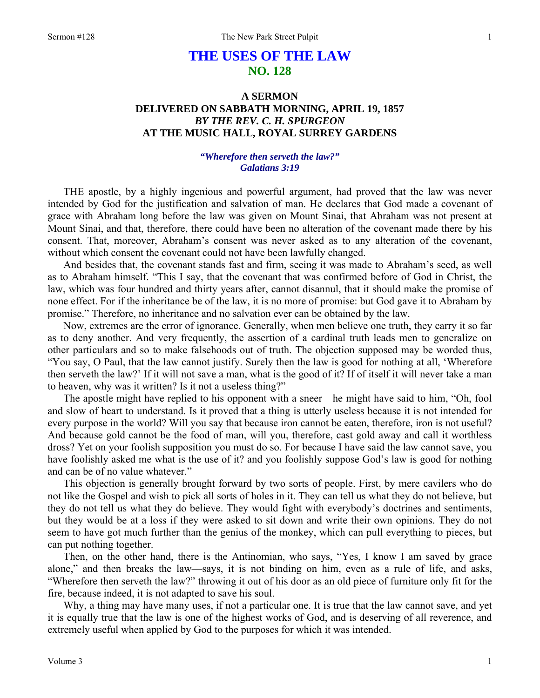## **THE USES OF THE LAW NO. 128**

## **A SERMON DELIVERED ON SABBATH MORNING, APRIL 19, 1857**  *BY THE REV. C. H. SPURGEON*  **AT THE MUSIC HALL, ROYAL SURREY GARDENS**

## *"Wherefore then serveth the law?" Galatians 3:19*

THE apostle, by a highly ingenious and powerful argument, had proved that the law was never intended by God for the justification and salvation of man. He declares that God made a covenant of grace with Abraham long before the law was given on Mount Sinai, that Abraham was not present at Mount Sinai, and that, therefore, there could have been no alteration of the covenant made there by his consent. That, moreover, Abraham's consent was never asked as to any alteration of the covenant, without which consent the covenant could not have been lawfully changed.

And besides that, the covenant stands fast and firm, seeing it was made to Abraham's seed, as well as to Abraham himself. "This I say, that the covenant that was confirmed before of God in Christ, the law, which was four hundred and thirty years after, cannot disannul, that it should make the promise of none effect. For if the inheritance be of the law, it is no more of promise: but God gave it to Abraham by promise." Therefore, no inheritance and no salvation ever can be obtained by the law.

Now, extremes are the error of ignorance. Generally, when men believe one truth, they carry it so far as to deny another. And very frequently, the assertion of a cardinal truth leads men to generalize on other particulars and so to make falsehoods out of truth. The objection supposed may be worded thus, "You say, O Paul, that the law cannot justify. Surely then the law is good for nothing at all, 'Wherefore then serveth the law?' If it will not save a man, what is the good of it? If of itself it will never take a man to heaven, why was it written? Is it not a useless thing?"

The apostle might have replied to his opponent with a sneer—he might have said to him, "Oh, fool and slow of heart to understand. Is it proved that a thing is utterly useless because it is not intended for every purpose in the world? Will you say that because iron cannot be eaten, therefore, iron is not useful? And because gold cannot be the food of man, will you, therefore, cast gold away and call it worthless dross? Yet on your foolish supposition you must do so. For because I have said the law cannot save, you have foolishly asked me what is the use of it? and you foolishly suppose God's law is good for nothing and can be of no value whatever."

This objection is generally brought forward by two sorts of people. First, by mere cavilers who do not like the Gospel and wish to pick all sorts of holes in it. They can tell us what they do not believe, but they do not tell us what they do believe. They would fight with everybody's doctrines and sentiments, but they would be at a loss if they were asked to sit down and write their own opinions. They do not seem to have got much further than the genius of the monkey, which can pull everything to pieces, but can put nothing together.

Then, on the other hand, there is the Antinomian, who says, "Yes, I know I am saved by grace alone," and then breaks the law—says, it is not binding on him, even as a rule of life, and asks, "Wherefore then serveth the law?" throwing it out of his door as an old piece of furniture only fit for the fire, because indeed, it is not adapted to save his soul.

Why, a thing may have many uses, if not a particular one. It is true that the law cannot save, and yet it is equally true that the law is one of the highest works of God, and is deserving of all reverence, and extremely useful when applied by God to the purposes for which it was intended.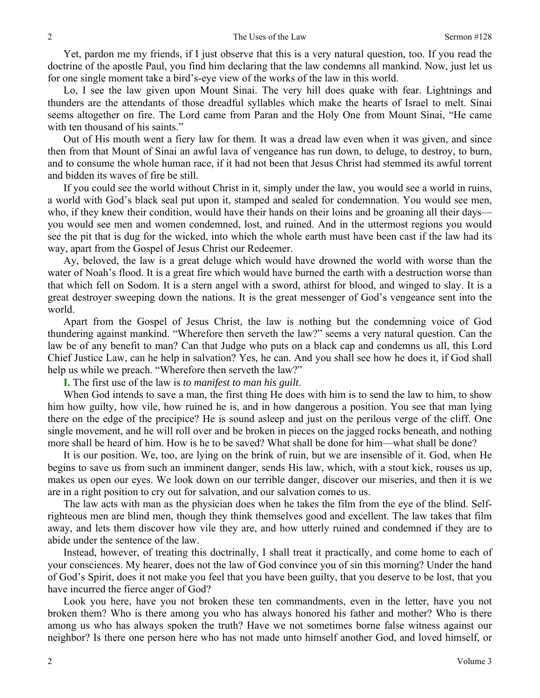Yet, pardon me my friends, if I just observe that this is a very natural question, too. If you read the doctrine of the apostle Paul, you find him declaring that the law condemns all mankind. Now, just let us for one single moment take a bird's-eye view of the works of the law in this world.

Lo, I see the law given upon Mount Sinai. The very hill does quake with fear. Lightnings and thunders are the attendants of those dreadful syllables which make the hearts of Israel to melt. Sinai seems altogether on fire. The Lord came from Paran and the Holy One from Mount Sinai, "He came with ten thousand of his saints."

Out of His mouth went a fiery law for them. It was a dread law even when it was given, and since then from that Mount of Sinai an awful lava of vengeance has run down, to deluge, to destroy, to burn, and to consume the whole human race, if it had not been that Jesus Christ had stemmed its awful torrent and bidden its waves of fire be still.

If you could see the world without Christ in it, simply under the law, you would see a world in ruins, a world with God's black seal put upon it, stamped and sealed for condemnation. You would see men, who, if they knew their condition, would have their hands on their loins and be groaning all their days you would see men and women condemned, lost, and ruined. And in the uttermost regions you would see the pit that is dug for the wicked, into which the whole earth must have been cast if the law had its way, apart from the Gospel of Jesus Christ our Redeemer.

Ay, beloved, the law is a great deluge which would have drowned the world with worse than the water of Noah's flood. It is a great fire which would have burned the earth with a destruction worse than that which fell on Sodom. It is a stern angel with a sword, athirst for blood, and winged to slay. It is a great destroyer sweeping down the nations. It is the great messenger of God's vengeance sent into the world.

Apart from the Gospel of Jesus Christ, the law is nothing but the condemning voice of God thundering against mankind. "Wherefore then serveth the law?" seems a very natural question. Can the law be of any benefit to man? Can that Judge who puts on a black cap and condemns us all, this Lord Chief Justice Law, can he help in salvation? Yes, he can. And you shall see how he does it, if God shall help us while we preach. "Wherefore then serveth the law?"

**I.** The first use of the law is *to manifest to man his guilt*.

When God intends to save a man, the first thing He does with him is to send the law to him, to show him how guilty, how vile, how ruined he is, and in how dangerous a position. You see that man lying there on the edge of the precipice? He is sound asleep and just on the perilous verge of the cliff. One single movement, and he will roll over and be broken in pieces on the jagged rocks beneath, and nothing more shall be heard of him. How is he to be saved? What shall be done for him—what shall be done?

It is our position. We, too, are lying on the brink of ruin, but we are insensible of it. God, when He begins to save us from such an imminent danger, sends His law, which, with a stout kick, rouses us up, makes us open our eyes. We look down on our terrible danger, discover our miseries, and then it is we are in a right position to cry out for salvation, and our salvation comes to us.

The law acts with man as the physician does when he takes the film from the eye of the blind. Selfrighteous men are blind men, though they think themselves good and excellent. The law takes that film away, and lets them discover how vile they are, and how utterly ruined and condemned if they are to abide under the sentence of the law.

Instead, however, of treating this doctrinally, I shall treat it practically, and come home to each of your consciences. My hearer, does not the law of God convince you of sin this morning? Under the hand of God's Spirit, does it not make you feel that you have been guilty, that you deserve to be lost, that you have incurred the fierce anger of God?

Look you here, have you not broken these ten commandments, even in the letter, have you not broken them? Who is there among you who has always honored his father and mother? Who is there among us who has always spoken the truth? Have we not sometimes borne false witness against our neighbor? Is there one person here who has not made unto himself another God, and loved himself, or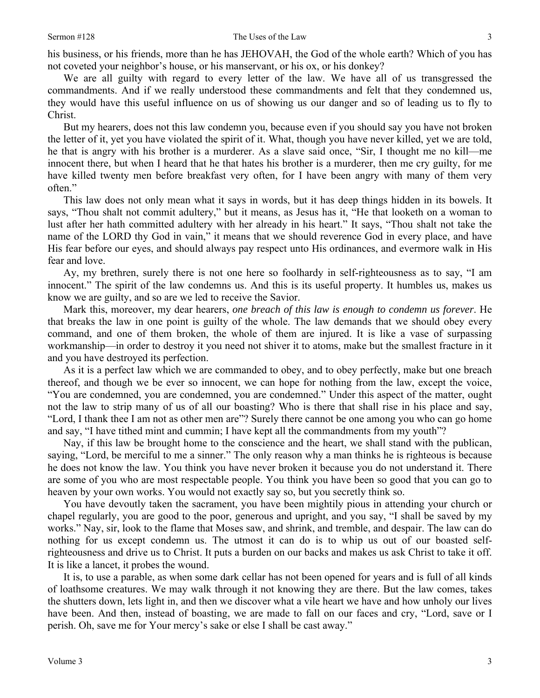his business, or his friends, more than he has JEHOVAH, the God of the whole earth? Which of you has not coveted your neighbor's house, or his manservant, or his ox, or his donkey?

We are all guilty with regard to every letter of the law. We have all of us transgressed the commandments. And if we really understood these commandments and felt that they condemned us, they would have this useful influence on us of showing us our danger and so of leading us to fly to Christ.

But my hearers, does not this law condemn you, because even if you should say you have not broken the letter of it, yet you have violated the spirit of it. What, though you have never killed, yet we are told, he that is angry with his brother is a murderer. As a slave said once, "Sir, I thought me no kill—me innocent there, but when I heard that he that hates his brother is a murderer, then me cry guilty, for me have killed twenty men before breakfast very often, for I have been angry with many of them very often."

This law does not only mean what it says in words, but it has deep things hidden in its bowels. It says, "Thou shalt not commit adultery," but it means, as Jesus has it, "He that looketh on a woman to lust after her hath committed adultery with her already in his heart." It says, "Thou shalt not take the name of the LORD thy God in vain," it means that we should reverence God in every place, and have His fear before our eyes, and should always pay respect unto His ordinances, and evermore walk in His fear and love.

Ay, my brethren, surely there is not one here so foolhardy in self-righteousness as to say, "I am innocent." The spirit of the law condemns us. And this is its useful property. It humbles us, makes us know we are guilty, and so are we led to receive the Savior.

Mark this, moreover, my dear hearers, *one breach of this law is enough to condemn us forever*. He that breaks the law in one point is guilty of the whole. The law demands that we should obey every command, and one of them broken, the whole of them are injured. It is like a vase of surpassing workmanship—in order to destroy it you need not shiver it to atoms, make but the smallest fracture in it and you have destroyed its perfection.

As it is a perfect law which we are commanded to obey, and to obey perfectly, make but one breach thereof, and though we be ever so innocent, we can hope for nothing from the law, except the voice, "You are condemned, you are condemned, you are condemned." Under this aspect of the matter, ought not the law to strip many of us of all our boasting? Who is there that shall rise in his place and say, "Lord, I thank thee I am not as other men are"? Surely there cannot be one among you who can go home and say, "I have tithed mint and cummin; I have kept all the commandments from my youth"?

Nay, if this law be brought home to the conscience and the heart, we shall stand with the publican, saying, "Lord, be merciful to me a sinner." The only reason why a man thinks he is righteous is because he does not know the law. You think you have never broken it because you do not understand it. There are some of you who are most respectable people. You think you have been so good that you can go to heaven by your own works. You would not exactly say so, but you secretly think so.

You have devoutly taken the sacrament, you have been mightily pious in attending your church or chapel regularly, you are good to the poor, generous and upright, and you say, "I shall be saved by my works." Nay, sir, look to the flame that Moses saw, and shrink, and tremble, and despair. The law can do nothing for us except condemn us. The utmost it can do is to whip us out of our boasted selfrighteousness and drive us to Christ. It puts a burden on our backs and makes us ask Christ to take it off. It is like a lancet, it probes the wound.

It is, to use a parable, as when some dark cellar has not been opened for years and is full of all kinds of loathsome creatures. We may walk through it not knowing they are there. But the law comes, takes the shutters down, lets light in, and then we discover what a vile heart we have and how unholy our lives have been. And then, instead of boasting, we are made to fall on our faces and cry, "Lord, save or I perish. Oh, save me for Your mercy's sake or else I shall be cast away."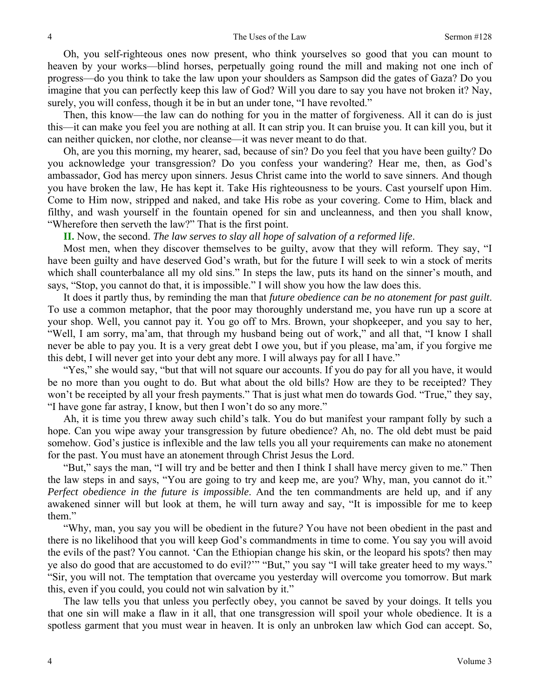Oh, you self-righteous ones now present, who think yourselves so good that you can mount to heaven by your works—blind horses, perpetually going round the mill and making not one inch of progress—do you think to take the law upon your shoulders as Sampson did the gates of Gaza? Do you imagine that you can perfectly keep this law of God? Will you dare to say you have not broken it? Nay, surely, you will confess, though it be in but an under tone, "I have revolted."

Then, this know—the law can do nothing for you in the matter of forgiveness. All it can do is just this—it can make you feel you are nothing at all. It can strip you. It can bruise you. It can kill you, but it can neither quicken, nor clothe, nor cleanse—it was never meant to do that.

Oh, are you this morning, my hearer, sad, because of sin? Do you feel that you have been guilty? Do you acknowledge your transgression? Do you confess your wandering? Hear me, then, as God's ambassador, God has mercy upon sinners. Jesus Christ came into the world to save sinners. And though you have broken the law, He has kept it. Take His righteousness to be yours. Cast yourself upon Him. Come to Him now, stripped and naked, and take His robe as your covering. Come to Him, black and filthy, and wash yourself in the fountain opened for sin and uncleanness, and then you shall know, "Wherefore then serveth the law?" That is the first point.

**II.** Now, the second. *The law serves to slay all hope of salvation of a reformed life*.

Most men, when they discover themselves to be guilty, avow that they will reform. They say, "I have been guilty and have deserved God's wrath, but for the future I will seek to win a stock of merits which shall counterbalance all my old sins." In steps the law, puts its hand on the sinner's mouth, and says, "Stop, you cannot do that, it is impossible." I will show you how the law does this.

It does it partly thus, by reminding the man that *future obedience can be no atonement for past guilt*. To use a common metaphor, that the poor may thoroughly understand me, you have run up a score at your shop. Well, you cannot pay it. You go off to Mrs. Brown, your shopkeeper, and you say to her, "Well, I am sorry, ma'am, that through my husband being out of work," and all that, "I know I shall never be able to pay you. It is a very great debt I owe you, but if you please, ma'am, if you forgive me this debt, I will never get into your debt any more. I will always pay for all I have."

"Yes," she would say, "but that will not square our accounts. If you do pay for all you have, it would be no more than you ought to do. But what about the old bills? How are they to be receipted? They won't be receipted by all your fresh payments." That is just what men do towards God. "True," they say, "I have gone far astray, I know, but then I won't do so any more."

Ah, it is time you threw away such child's talk. You do but manifest your rampant folly by such a hope. Can you wipe away your transgression by future obedience? Ah, no. The old debt must be paid somehow. God's justice is inflexible and the law tells you all your requirements can make no atonement for the past. You must have an atonement through Christ Jesus the Lord.

"But," says the man, "I will try and be better and then I think I shall have mercy given to me." Then the law steps in and says, "You are going to try and keep me, are you? Why, man, you cannot do it." *Perfect obedience in the future is impossible*. And the ten commandments are held up, and if any awakened sinner will but look at them, he will turn away and say, "It is impossible for me to keep them."

"Why, man, you say you will be obedient in the future*?* You have not been obedient in the past and there is no likelihood that you will keep God's commandments in time to come. You say you will avoid the evils of the past? You cannot. 'Can the Ethiopian change his skin, or the leopard his spots? then may ye also do good that are accustomed to do evil?'" "But," you say "I will take greater heed to my ways." "Sir, you will not. The temptation that overcame you yesterday will overcome you tomorrow. But mark this, even if you could, you could not win salvation by it."

The law tells you that unless you perfectly obey, you cannot be saved by your doings. It tells you that one sin will make a flaw in it all, that one transgression will spoil your whole obedience. It is a spotless garment that you must wear in heaven. It is only an unbroken law which God can accept. So,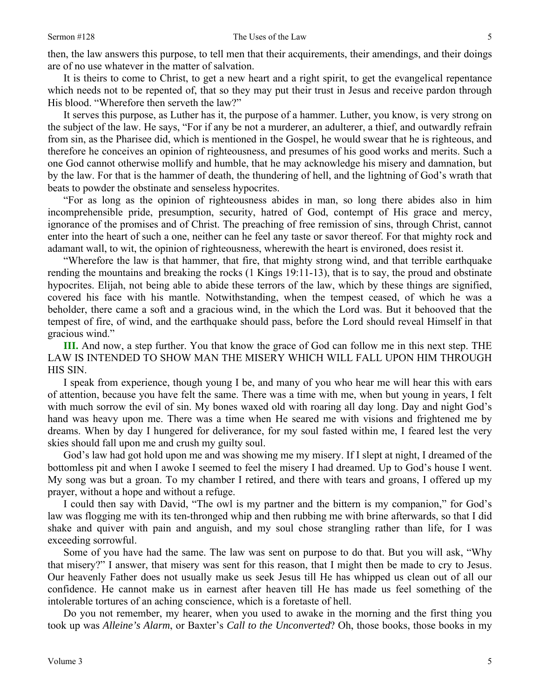then, the law answers this purpose, to tell men that their acquirements, their amendings, and their doings are of no use whatever in the matter of salvation.

It is theirs to come to Christ, to get a new heart and a right spirit, to get the evangelical repentance which needs not to be repented of, that so they may put their trust in Jesus and receive pardon through His blood. "Wherefore then serveth the law?"

It serves this purpose, as Luther has it, the purpose of a hammer. Luther, you know, is very strong on the subject of the law. He says, "For if any be not a murderer, an adulterer, a thief, and outwardly refrain from sin, as the Pharisee did, which is mentioned in the Gospel, he would swear that he is righteous, and therefore he conceives an opinion of righteousness, and presumes of his good works and merits. Such a one God cannot otherwise mollify and humble, that he may acknowledge his misery and damnation, but by the law. For that is the hammer of death, the thundering of hell, and the lightning of God's wrath that beats to powder the obstinate and senseless hypocrites.

"For as long as the opinion of righteousness abides in man, so long there abides also in him incomprehensible pride, presumption, security, hatred of God, contempt of His grace and mercy, ignorance of the promises and of Christ. The preaching of free remission of sins, through Christ, cannot enter into the heart of such a one, neither can he feel any taste or savor thereof. For that mighty rock and adamant wall, to wit, the opinion of righteousness, wherewith the heart is environed, does resist it.

"Wherefore the law is that hammer, that fire, that mighty strong wind, and that terrible earthquake rending the mountains and breaking the rocks (1 Kings 19:11-13), that is to say, the proud and obstinate hypocrites. Elijah, not being able to abide these terrors of the law, which by these things are signified, covered his face with his mantle. Notwithstanding, when the tempest ceased, of which he was a beholder, there came a soft and a gracious wind, in the which the Lord was. But it behooved that the tempest of fire, of wind, and the earthquake should pass, before the Lord should reveal Himself in that gracious wind."

**III.** And now, a step further. You that know the grace of God can follow me in this next step. THE LAW IS INTENDED TO SHOW MAN THE MISERY WHICH WILL FALL UPON HIM THROUGH HIS SIN.

I speak from experience, though young I be, and many of you who hear me will hear this with ears of attention, because you have felt the same. There was a time with me, when but young in years, I felt with much sorrow the evil of sin. My bones waxed old with roaring all day long. Day and night God's hand was heavy upon me. There was a time when He seared me with visions and frightened me by dreams. When by day I hungered for deliverance, for my soul fasted within me, I feared lest the very skies should fall upon me and crush my guilty soul.

God's law had got hold upon me and was showing me my misery. If I slept at night, I dreamed of the bottomless pit and when I awoke I seemed to feel the misery I had dreamed. Up to God's house I went. My song was but a groan. To my chamber I retired, and there with tears and groans, I offered up my prayer, without a hope and without a refuge.

I could then say with David, "The owl is my partner and the bittern is my companion," for God's law was flogging me with its ten-thronged whip and then rubbing me with brine afterwards, so that I did shake and quiver with pain and anguish, and my soul chose strangling rather than life, for I was exceeding sorrowful.

Some of you have had the same. The law was sent on purpose to do that. But you will ask, "Why that misery?" I answer, that misery was sent for this reason, that I might then be made to cry to Jesus. Our heavenly Father does not usually make us seek Jesus till He has whipped us clean out of all our confidence. He cannot make us in earnest after heaven till He has made us feel something of the intolerable tortures of an aching conscience, which is a foretaste of hell.

Do you not remember, my hearer, when you used to awake in the morning and the first thing you took up was *Alleine's Alarm*, or Baxter's *Call to the Unconverted*? Oh, those books, those books in my

5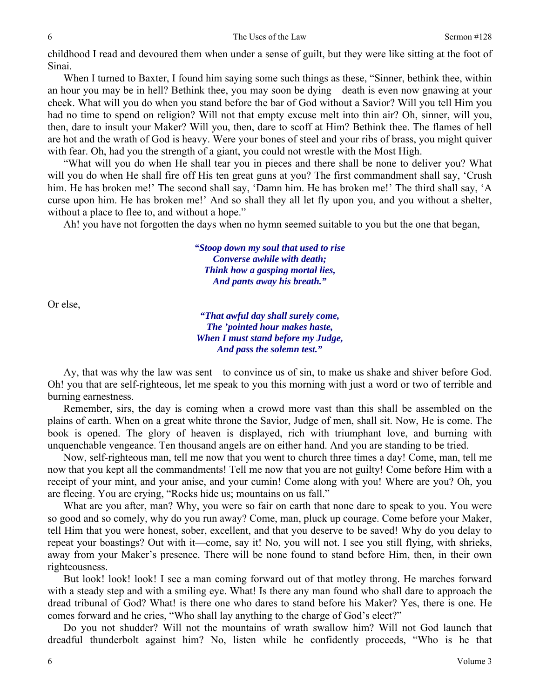childhood I read and devoured them when under a sense of guilt, but they were like sitting at the foot of Sinai.

When I turned to Baxter, I found him saying some such things as these, "Sinner, bethink thee, within an hour you may be in hell? Bethink thee, you may soon be dying—death is even now gnawing at your cheek. What will you do when you stand before the bar of God without a Savior? Will you tell Him you had no time to spend on religion? Will not that empty excuse melt into thin air? Oh, sinner, will you, then, dare to insult your Maker? Will you, then, dare to scoff at Him? Bethink thee. The flames of hell are hot and the wrath of God is heavy. Were your bones of steel and your ribs of brass, you might quiver with fear. Oh, had you the strength of a giant, you could not wrestle with the Most High.

"What will you do when He shall tear you in pieces and there shall be none to deliver you? What will you do when He shall fire off His ten great guns at you? The first commandment shall say, 'Crush him. He has broken me!' The second shall say, 'Damn him. He has broken me!' The third shall say, 'A curse upon him. He has broken me!' And so shall they all let fly upon you, and you without a shelter, without a place to flee to, and without a hope."

Ah! you have not forgotten the days when no hymn seemed suitable to you but the one that began,

*"Stoop down my soul that used to rise Converse awhile with death; Think how a gasping mortal lies, And pants away his breath."* 

Or else,

6

*"That awful day shall surely come, The 'pointed hour makes haste, When I must stand before my Judge, And pass the solemn test."* 

Ay, that was why the law was sent—to convince us of sin, to make us shake and shiver before God. Oh! you that are self-righteous, let me speak to you this morning with just a word or two of terrible and burning earnestness.

Remember, sirs, the day is coming when a crowd more vast than this shall be assembled on the plains of earth. When on a great white throne the Savior, Judge of men, shall sit. Now, He is come. The book is opened. The glory of heaven is displayed, rich with triumphant love, and burning with unquenchable vengeance. Ten thousand angels are on either hand. And you are standing to be tried.

Now, self-righteous man, tell me now that you went to church three times a day! Come, man, tell me now that you kept all the commandments! Tell me now that you are not guilty! Come before Him with a receipt of your mint, and your anise, and your cumin! Come along with you! Where are you? Oh, you are fleeing. You are crying, "Rocks hide us; mountains on us fall."

What are you after, man? Why, you were so fair on earth that none dare to speak to you. You were so good and so comely, why do you run away? Come, man, pluck up courage. Come before your Maker, tell Him that you were honest, sober, excellent, and that you deserve to be saved! Why do you delay to repeat your boastings? Out with it—come, say it! No, you will not. I see you still flying, with shrieks, away from your Maker's presence. There will be none found to stand before Him, then, in their own righteousness.

But look! look! look! I see a man coming forward out of that motley throng. He marches forward with a steady step and with a smiling eye. What! Is there any man found who shall dare to approach the dread tribunal of God? What! is there one who dares to stand before his Maker? Yes, there is one. He comes forward and he cries, "Who shall lay anything to the charge of God's elect?"

Do you not shudder? Will not the mountains of wrath swallow him? Will not God launch that dreadful thunderbolt against him? No, listen while he confidently proceeds, "Who is he that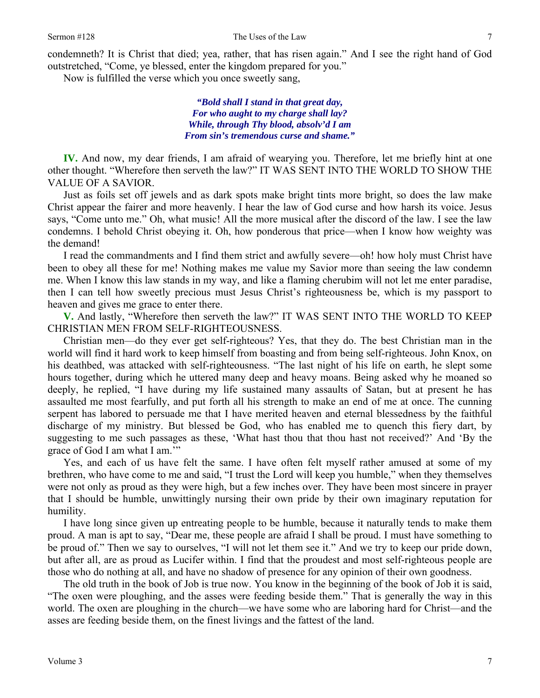condemneth? It is Christ that died; yea, rather, that has risen again." And I see the right hand of God outstretched, "Come, ye blessed, enter the kingdom prepared for you."

Now is fulfilled the verse which you once sweetly sang,

*"Bold shall I stand in that great day, For who aught to my charge shall lay? While, through Thy blood, absolv'd I am From sin's tremendous curse and shame."* 

**IV.** And now, my dear friends, I am afraid of wearying you. Therefore, let me briefly hint at one other thought. "Wherefore then serveth the law?" IT WAS SENT INTO THE WORLD TO SHOW THE VALUE OF A SAVIOR.

Just as foils set off jewels and as dark spots make bright tints more bright, so does the law make Christ appear the fairer and more heavenly. I hear the law of God curse and how harsh its voice. Jesus says, "Come unto me." Oh, what music! All the more musical after the discord of the law. I see the law condemns. I behold Christ obeying it. Oh, how ponderous that price—when I know how weighty was the demand!

I read the commandments and I find them strict and awfully severe—oh! how holy must Christ have been to obey all these for me! Nothing makes me value my Savior more than seeing the law condemn me. When I know this law stands in my way, and like a flaming cherubim will not let me enter paradise, then I can tell how sweetly precious must Jesus Christ's righteousness be, which is my passport to heaven and gives me grace to enter there.

**V.** And lastly, "Wherefore then serveth the law?" IT WAS SENT INTO THE WORLD TO KEEP CHRISTIAN MEN FROM SELF-RIGHTEOUSNESS.

Christian men—do they ever get self-righteous? Yes, that they do. The best Christian man in the world will find it hard work to keep himself from boasting and from being self-righteous. John Knox, on his deathbed, was attacked with self-righteousness. "The last night of his life on earth, he slept some hours together, during which he uttered many deep and heavy moans. Being asked why he moaned so deeply, he replied, "I have during my life sustained many assaults of Satan, but at present he has assaulted me most fearfully, and put forth all his strength to make an end of me at once. The cunning serpent has labored to persuade me that I have merited heaven and eternal blessedness by the faithful discharge of my ministry. But blessed be God, who has enabled me to quench this fiery dart, by suggesting to me such passages as these, 'What hast thou that thou hast not received?' And 'By the grace of God I am what I am.'"

Yes, and each of us have felt the same. I have often felt myself rather amused at some of my brethren, who have come to me and said, "I trust the Lord will keep you humble," when they themselves were not only as proud as they were high, but a few inches over. They have been most sincere in prayer that I should be humble, unwittingly nursing their own pride by their own imaginary reputation for humility.

I have long since given up entreating people to be humble, because it naturally tends to make them proud. A man is apt to say, "Dear me, these people are afraid I shall be proud. I must have something to be proud of." Then we say to ourselves, "I will not let them see it." And we try to keep our pride down, but after all, are as proud as Lucifer within. I find that the proudest and most self-righteous people are those who do nothing at all, and have no shadow of presence for any opinion of their own goodness.

The old truth in the book of Job is true now. You know in the beginning of the book of Job it is said, "The oxen were ploughing, and the asses were feeding beside them." That is generally the way in this world. The oxen are ploughing in the church—we have some who are laboring hard for Christ—and the asses are feeding beside them, on the finest livings and the fattest of the land.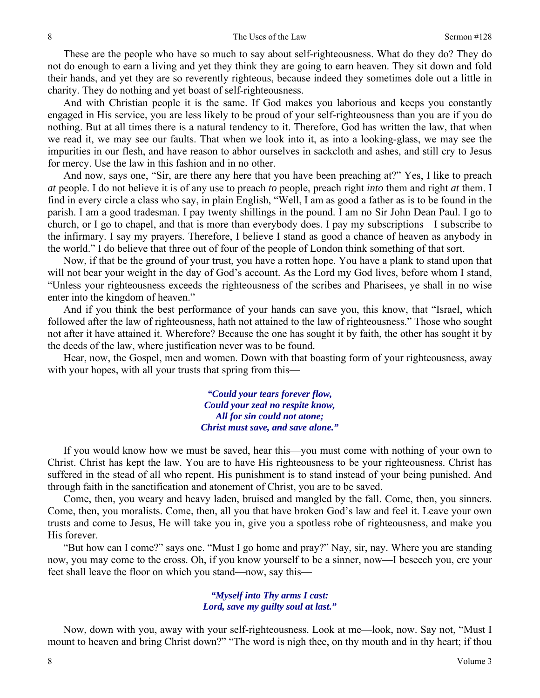These are the people who have so much to say about self-righteousness. What do they do? They do not do enough to earn a living and yet they think they are going to earn heaven. They sit down and fold their hands, and yet they are so reverently righteous, because indeed they sometimes dole out a little in charity. They do nothing and yet boast of self-righteousness.

And with Christian people it is the same. If God makes you laborious and keeps you constantly engaged in His service, you are less likely to be proud of your self-righteousness than you are if you do nothing. But at all times there is a natural tendency to it. Therefore, God has written the law, that when we read it, we may see our faults. That when we look into it, as into a looking-glass, we may see the impurities in our flesh, and have reason to abhor ourselves in sackcloth and ashes, and still cry to Jesus for mercy. Use the law in this fashion and in no other.

And now, says one, "Sir, are there any here that you have been preaching at?" Yes, I like to preach *at* people. I do not believe it is of any use to preach *to* people, preach right *into* them and right *at* them. I find in every circle a class who say, in plain English, "Well, I am as good a father as is to be found in the parish. I am a good tradesman. I pay twenty shillings in the pound. I am no Sir John Dean Paul. I go to church, or I go to chapel, and that is more than everybody does. I pay my subscriptions—I subscribe to the infirmary. I say my prayers. Therefore, I believe I stand as good a chance of heaven as anybody in the world." I do believe that three out of four of the people of London think something of that sort.

Now, if that be the ground of your trust, you have a rotten hope. You have a plank to stand upon that will not bear your weight in the day of God's account. As the Lord my God lives, before whom I stand, "Unless your righteousness exceeds the righteousness of the scribes and Pharisees, ye shall in no wise enter into the kingdom of heaven."

And if you think the best performance of your hands can save you, this know, that "Israel, which followed after the law of righteousness, hath not attained to the law of righteousness." Those who sought not after it have attained it. Wherefore? Because the one has sought it by faith, the other has sought it by the deeds of the law, where justification never was to be found.

Hear, now, the Gospel, men and women. Down with that boasting form of your righteousness, away with your hopes, with all your trusts that spring from this—

> *"Could your tears forever flow, Could your zeal no respite know, All for sin could not atone; Christ must save, and save alone."*

If you would know how we must be saved, hear this—you must come with nothing of your own to Christ. Christ has kept the law. You are to have His righteousness to be your righteousness. Christ has suffered in the stead of all who repent. His punishment is to stand instead of your being punished. And through faith in the sanctification and atonement of Christ, you are to be saved.

Come, then, you weary and heavy laden, bruised and mangled by the fall. Come, then, you sinners. Come, then, you moralists. Come, then, all you that have broken God's law and feel it. Leave your own trusts and come to Jesus, He will take you in, give you a spotless robe of righteousness, and make you His forever.

"But how can I come?" says one. "Must I go home and pray?" Nay, sir, nay. Where you are standing now, you may come to the cross. Oh, if you know yourself to be a sinner, now—I beseech you, ere your feet shall leave the floor on which you stand—now, say this—

## *"Myself into Thy arms I cast: Lord, save my guilty soul at last."*

Now, down with you, away with your self-righteousness. Look at me—look, now. Say not, "Must I mount to heaven and bring Christ down?" "The word is nigh thee, on thy mouth and in thy heart; if thou

8